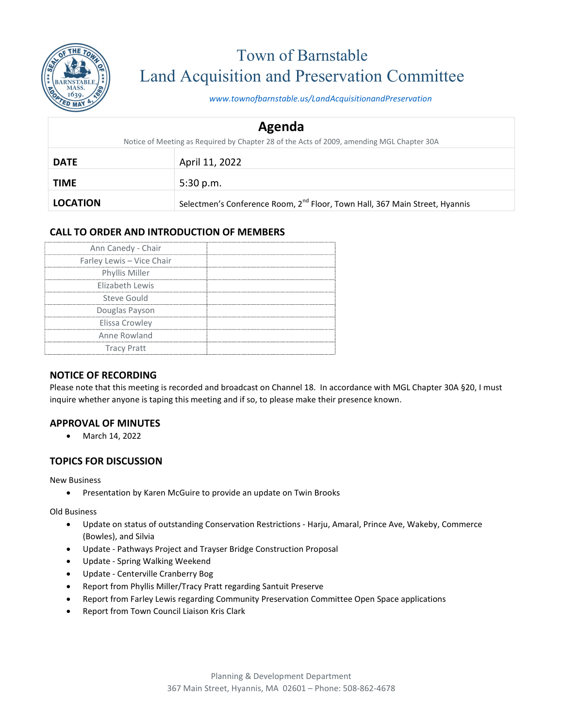

# Town of Barnstable Land Acquisition and Preservation Committee

www.townofbarnstable.us/LandAcquisitionandPreservation

| Agenda                                                                                    |                                                                                         |  |
|-------------------------------------------------------------------------------------------|-----------------------------------------------------------------------------------------|--|
| Notice of Meeting as Required by Chapter 28 of the Acts of 2009, amending MGL Chapter 30A |                                                                                         |  |
| <b>DATE</b>                                                                               | April 11, 2022                                                                          |  |
| <b>TIME</b>                                                                               | 5:30 p.m.                                                                               |  |
| <b>LOCATION</b>                                                                           | Selectmen's Conference Room, 2 <sup>nd</sup> Floor, Town Hall, 367 Main Street, Hyannis |  |

## CALL TO ORDER AND INTRODUCTION OF MEMBERS

| Ann Canedy - Chair        |  |
|---------------------------|--|
| Farley Lewis - Vice Chair |  |
| Phyllis Miller            |  |
| Elizabeth Lewis           |  |
| Steve Gould               |  |
| Douglas Payson            |  |
| Elissa Crowley            |  |
| Anne Rowland              |  |
| <b>Tracy Pratt</b>        |  |

#### NOTICE OF RECORDING

Please note that this meeting is recorded and broadcast on Channel 18. In accordance with MGL Chapter 30A §20, I must inquire whether anyone is taping this meeting and if so, to please make their presence known.

#### APPROVAL OF MINUTES

• March 14, 2022

#### TOPICS FOR DISCUSSION

New Business

Presentation by Karen McGuire to provide an update on Twin Brooks

Old Business

- Update on status of outstanding Conservation Restrictions Harju, Amaral, Prince Ave, Wakeby, Commerce (Bowles), and Silvia
- Update Pathways Project and Trayser Bridge Construction Proposal
- Update Spring Walking Weekend
- Update Centerville Cranberry Bog
- Report from Phyllis Miller/Tracy Pratt regarding Santuit Preserve
- Report from Farley Lewis regarding Community Preservation Committee Open Space applications
- Report from Town Council Liaison Kris Clark